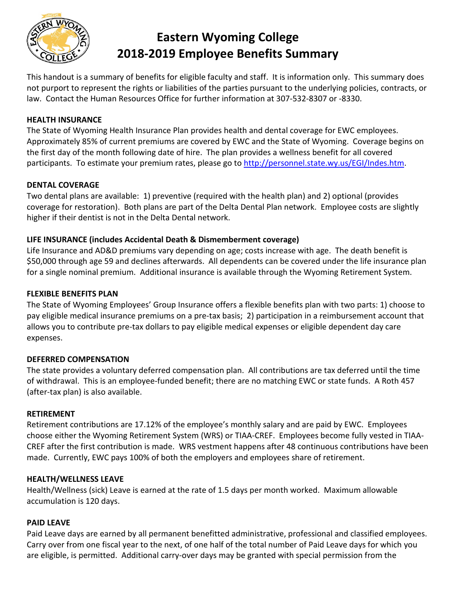

# **Eastern Wyoming College 2018-2019 Employee Benefits Summary**

This handout is a summary of benefits for eligible faculty and staff. It is information only. This summary does not purport to represent the rights or liabilities of the parties pursuant to the underlying policies, contracts, or law. Contact the Human Resources Office for further information at 307-532-8307 or -8330.

#### **HEALTH INSURANCE**

The State of Wyoming Health Insurance Plan provides health and dental coverage for EWC employees. Approximately 85% of current premiums are covered by EWC and the State of Wyoming. Coverage begins on the first day of the month following date of hire. The plan provides a wellness benefit for all covered participants. To estimate your premium rates, please go to [http://personnel.state.wy.us/EGI/Indes.htm.](http://personnel.state.wy.us/EGI/Indes.htm)

#### **DENTAL COVERAGE**

Two dental plans are available: 1) preventive (required with the health plan) and 2) optional (provides coverage for restoration). Both plans are part of the Delta Dental Plan network. Employee costs are slightly higher if their dentist is not in the Delta Dental network.

# **LIFE INSURANCE (includes Accidental Death & Dismemberment coverage)**

Life Insurance and AD&D premiums vary depending on age; costs increase with age. The death benefit is \$50,000 through age 59 and declines afterwards. All dependents can be covered under the life insurance plan for a single nominal premium. Additional insurance is available through the Wyoming Retirement System.

#### **FLEXIBLE BENEFITS PLAN**

The State of Wyoming Employees' Group Insurance offers a flexible benefits plan with two parts: 1) choose to pay eligible medical insurance premiums on a pre-tax basis; 2) participation in a reimbursement account that allows you to contribute pre-tax dollars to pay eligible medical expenses or eligible dependent day care expenses.

#### **DEFERRED COMPENSATION**

The state provides a voluntary deferred compensation plan. All contributions are tax deferred until the time of withdrawal. This is an employee-funded benefit; there are no matching EWC or state funds. A Roth 457 (after-tax plan) is also available.

#### **RETIREMENT**

Retirement contributions are 17.12% of the employee's monthly salary and are paid by EWC. Employees choose either the Wyoming Retirement System (WRS) or TIAA-CREF. Employees become fully vested in TIAA-CREF after the first contribution is made. WRS vestment happens after 48 continuous contributions have been made. Currently, EWC pays 100% of both the employers and employees share of retirement.

#### **HEALTH/WELLNESS LEAVE**

Health/Wellness (sick) Leave is earned at the rate of 1.5 days per month worked. Maximum allowable accumulation is 120 days.

#### **PAID LEAVE**

Paid Leave days are earned by all permanent benefitted administrative, professional and classified employees. Carry over from one fiscal year to the next, of one half of the total number of Paid Leave days for which you are eligible, is permitted. Additional carry-over days may be granted with special permission from the